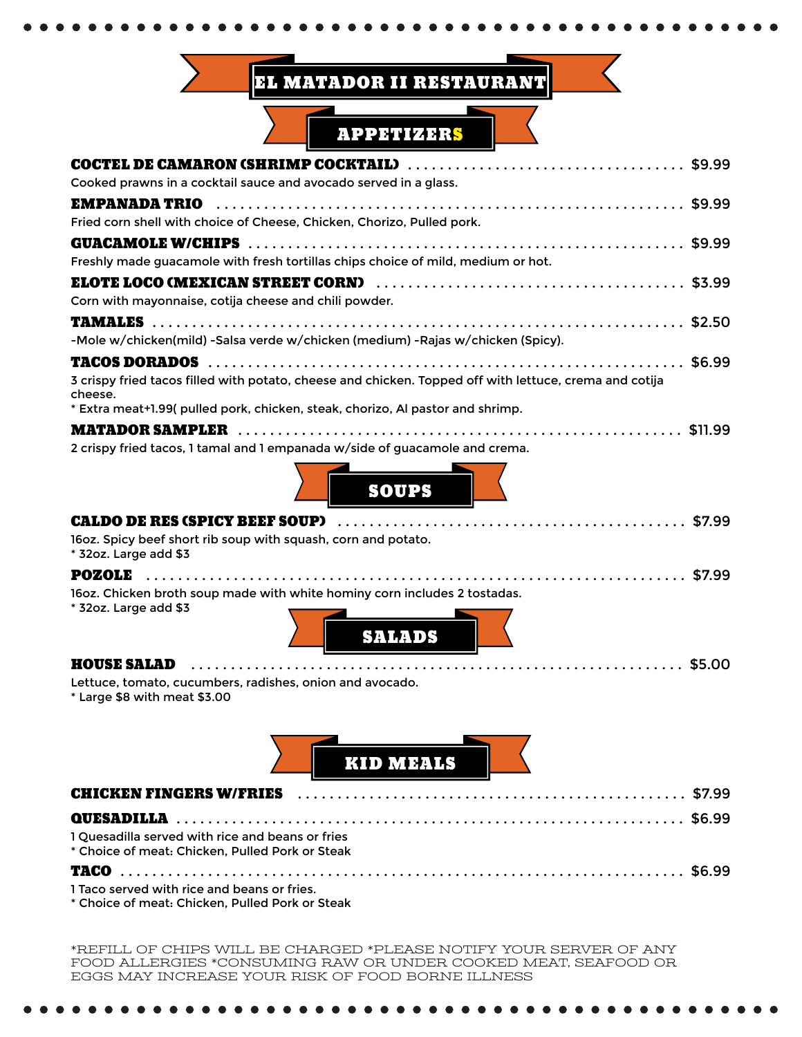## EL MATADOR II RESTAURANT



| Cooked prawns in a cocktail sauce and avocado served in a glass.                                                  |
|-------------------------------------------------------------------------------------------------------------------|
| <b>EMPANADA TRIO</b>                                                                                              |
| Fried corn shell with choice of Cheese, Chicken, Chorizo, Pulled pork.                                            |
|                                                                                                                   |
| Freshly made guacamole with fresh tortillas chips choice of mild, medium or hot.                                  |
|                                                                                                                   |
| Corn with mayonnaise, cotija cheese and chili powder.                                                             |
|                                                                                                                   |
| -Mole w/chicken(mild) -Salsa verde w/chicken (medium) -Rajas w/chicken (Spicy).                                   |
|                                                                                                                   |
| 3 crispy fried tacos filled with potato, cheese and chicken. Topped off with lettuce, crema and cotija<br>cheese. |
| * Extra meat+1.99( pulled pork, chicken, steak, chorizo, Al pastor and shrimp.                                    |
|                                                                                                                   |
| 2 crispy fried tacos, 1 tamal and 1 empanada w/side of guacamole and crema.                                       |
| <b>SOUPS</b>                                                                                                      |
| <b>CALDO DE RES (SPICY BEEF SOUP)</b>                                                                             |
| 16oz. Spicy beef short rib soup with squash, corn and potato.<br>* 32oz. Large add \$3                            |
| <b>POZOLE</b>                                                                                                     |
| 16oz. Chicken broth soup made with white hominy corn includes 2 tostadas.<br>* 32oz. Large add \$3                |
| <b>SALADS</b>                                                                                                     |
| <b>HOUSE SALAD</b>                                                                                                |
| Lettuce, tomato, cucumbers, radishes, onion and avocado.<br>* Large \$8 with meat \$3.00                          |

| КО МИЛБ |  |
|---------|--|

| 1 Quesadilla served with rice and beans or fries<br>* Choice of meat: Chicken, Pulled Pork or Steak |  |
|-----------------------------------------------------------------------------------------------------|--|
|                                                                                                     |  |
| 1 Taco served with rice and beans or fries.                                                         |  |

\* Choice of meat: Chicken, Pulled Pork or Steak

 $0.000000000000000000$ 

 $\bullet$ 

\*REFILL OF CHIPS WILL BE CHARGED \*PLEASE NOTIFY YOUR SERVER OF ANY FOOD ALLERGIES \*CONSUMING RAW OR UNDER COOKED MEAT, SEAFOOD OR EGGS MAY INCREASE YOUR RISK OF FOOD BORNE ILLNESS

 $\bullet$ 

 $\bullet$  $\bullet$  $\bullet$   $\bullet$  $\bullet$  $\bullet$  $\bullet$  $\bullet$  $\bullet$   $\bullet$ 

 $\bullet$   $\bullet$  $\bullet$  $\bullet$  $\bullet$ 

 $\bullet$  $\bullet$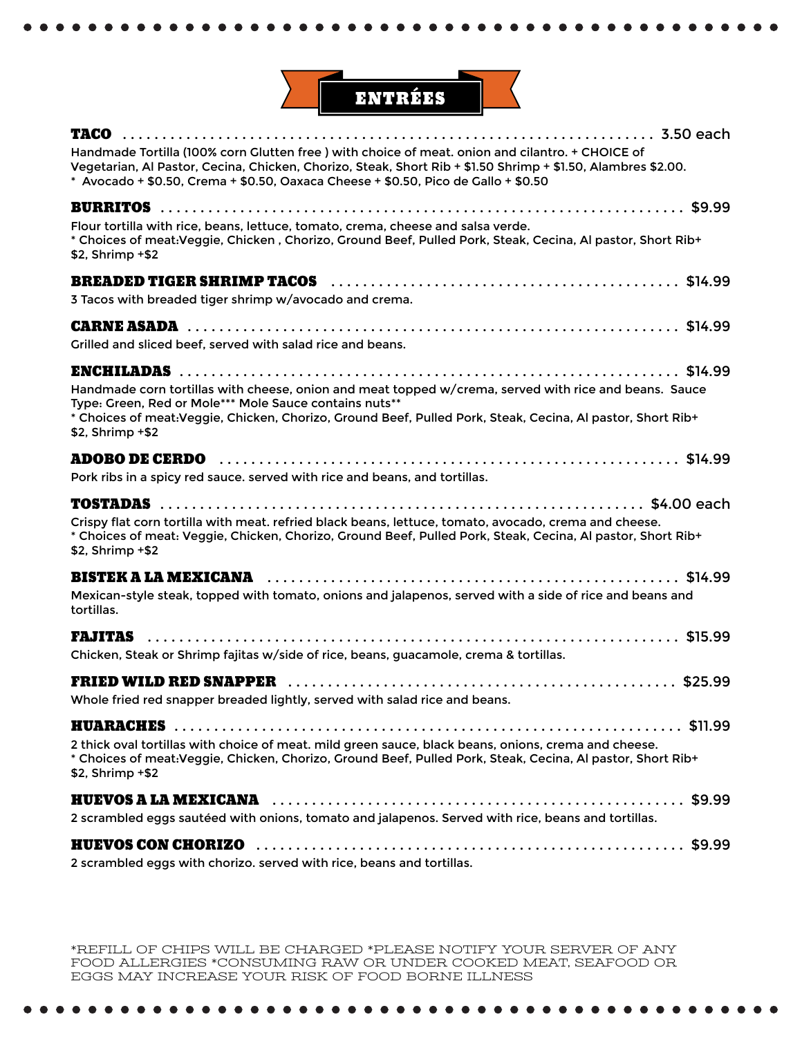

| Handmade Tortilla (100% corn Glutten free) with choice of meat. onion and cilantro. + CHOICE of<br>Vegetarian, Al Pastor, Cecina, Chicken, Chorizo, Steak, Short Rib + \$1.50 Shrimp + \$1.50, Alambres \$2.00.<br>* Avocado + \$0.50, Crema + \$0.50, Oaxaca Cheese + \$0.50, Pico de Gallo + \$0.50 |
|-------------------------------------------------------------------------------------------------------------------------------------------------------------------------------------------------------------------------------------------------------------------------------------------------------|
|                                                                                                                                                                                                                                                                                                       |
| Flour tortilla with rice, beans, lettuce, tomato, crema, cheese and salsa verde.                                                                                                                                                                                                                      |
| * Choices of meat:Veggie, Chicken, Chorizo, Ground Beef, Pulled Pork, Steak, Cecina, Al pastor, Short Rib+<br>\$2, Shrimp +\$2                                                                                                                                                                        |
|                                                                                                                                                                                                                                                                                                       |
| 3 Tacos with breaded tiger shrimp w/avocado and crema.                                                                                                                                                                                                                                                |
|                                                                                                                                                                                                                                                                                                       |
| Grilled and sliced beef, served with salad rice and beans.                                                                                                                                                                                                                                            |
|                                                                                                                                                                                                                                                                                                       |
| Handmade corn tortillas with cheese, onion and meat topped w/crema, served with rice and beans. Sauce                                                                                                                                                                                                 |
| Type: Green, Red or Mole*** Mole Sauce contains nuts**<br>* Choices of meat: Veggie, Chicken, Chorizo, Ground Beef, Pulled Pork, Steak, Cecina, Al pastor, Short Rib+                                                                                                                                 |
| \$2, Shrimp +\$2                                                                                                                                                                                                                                                                                      |
|                                                                                                                                                                                                                                                                                                       |
| Pork ribs in a spicy red sauce. served with rice and beans, and tortillas.                                                                                                                                                                                                                            |
|                                                                                                                                                                                                                                                                                                       |
| Crispy flat corn tortilla with meat. refried black beans, lettuce, tomato, avocado, crema and cheese.                                                                                                                                                                                                 |
| * Choices of meat: Veggie, Chicken, Chorizo, Ground Beef, Pulled Pork, Steak, Cecina, Al pastor, Short Rib+<br>\$2, Shrimp +\$2                                                                                                                                                                       |
|                                                                                                                                                                                                                                                                                                       |
| Mexican-style steak, topped with tomato, onions and jalapenos, served with a side of rice and beans and<br>tortillas.                                                                                                                                                                                 |
| <b>FAJITAS</b>                                                                                                                                                                                                                                                                                        |
| Chicken, Steak or Shrimp fajitas w/side of rice, beans, guacamole, crema & tortillas.                                                                                                                                                                                                                 |
|                                                                                                                                                                                                                                                                                                       |
| Whole fried red snapper breaded lightly, served with salad rice and beans.                                                                                                                                                                                                                            |
|                                                                                                                                                                                                                                                                                                       |
| 2 thick oval tortillas with choice of meat. mild green sauce, black beans, onions, crema and cheese.                                                                                                                                                                                                  |
| * Choices of meat: Veggie, Chicken, Chorizo, Ground Beef, Pulled Pork, Steak, Cecina, Al pastor, Short Rib+<br>\$2, Shrimp +\$2                                                                                                                                                                       |
|                                                                                                                                                                                                                                                                                                       |
| 2 scrambled eggs sautéed with onions, tomato and jalapenos. Served with rice, beans and tortillas.                                                                                                                                                                                                    |
|                                                                                                                                                                                                                                                                                                       |
| 2 scrambled eggs with chorizo, served with rice, beans and tortillas                                                                                                                                                                                                                                  |

crambled eggs with chorizo. served with rice, beans and tortillas.

\*REFILL OF CHIPS WILL BE CHARGED \*PLEASE NOTIFY YOUR SERVER OF ANY FOOD ALLERGIES \*CONSUMING RAW OR UNDER COOKED MEAT, SEAFOOD OR EGGS MAY INCREASE YOUR RISK OF FOOD BORNE ILLNESS

> $\bullet$   $\bullet$  $\bullet$  $\bullet$  $\bullet$  $\bullet$  $\bullet$  $\bullet$  $\bullet$  $\bullet$  $\bullet$  $\bullet$  $\bullet$   $\bullet$  $\bullet$  $\bullet$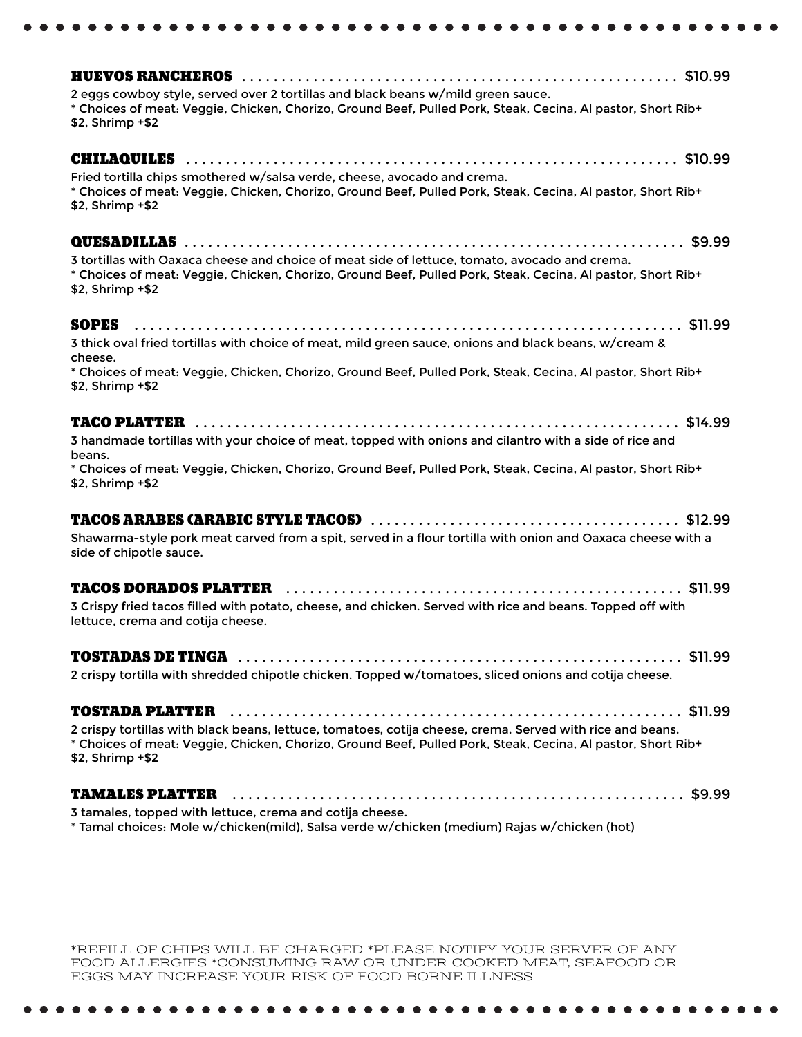| 2 eggs cowboy style, served over 2 tortillas and black beans w/mild green sauce.<br>* Choices of meat: Veggie, Chicken, Chorizo, Ground Beef, Pulled Pork, Steak, Cecina, Al pastor, Short Rib+<br>\$2, Shrimp +\$2                          |  |
|----------------------------------------------------------------------------------------------------------------------------------------------------------------------------------------------------------------------------------------------|--|
| Fried tortilla chips smothered w/salsa verde, cheese, avocado and crema.                                                                                                                                                                     |  |
| * Choices of meat: Veggie, Chicken, Chorizo, Ground Beef, Pulled Pork, Steak, Cecina, Al pastor, Short Rib+<br>\$2, Shrimp +\$2                                                                                                              |  |
|                                                                                                                                                                                                                                              |  |
| 3 tortillas with Oaxaca cheese and choice of meat side of lettuce, tomato, avocado and crema.<br>* Choices of meat: Veggie, Chicken, Chorizo, Ground Beef, Pulled Pork, Steak, Cecina, Al pastor, Short Rib+<br>\$2, Shrimp +\$2             |  |
| 3 thick oval fried tortillas with choice of meat, mild green sauce, onions and black beans, w/cream &<br>cheese.                                                                                                                             |  |
| * Choices of meat: Veggie, Chicken, Chorizo, Ground Beef, Pulled Pork, Steak, Cecina, Al pastor, Short Rib+<br>\$2, Shrimp +\$2                                                                                                              |  |
|                                                                                                                                                                                                                                              |  |
| 3 handmade tortillas with your choice of meat, topped with onions and cilantro with a side of rice and<br>beans.                                                                                                                             |  |
| * Choices of meat: Veggie, Chicken, Chorizo, Ground Beef, Pulled Pork, Steak, Cecina, Al pastor, Short Rib+<br>\$2, Shrimp +\$2                                                                                                              |  |
|                                                                                                                                                                                                                                              |  |
| Shawarma-style pork meat carved from a spit, served in a flour tortilla with onion and Oaxaca cheese with a<br>side of chipotle sauce.                                                                                                       |  |
|                                                                                                                                                                                                                                              |  |
| 3 Crispy fried tacos filled with potato, cheese, and chicken. Served with rice and beans. Topped off with<br>lettuce, crema and cotija cheese.                                                                                               |  |
|                                                                                                                                                                                                                                              |  |
| 2 crispy tortilla with shredded chipotle chicken. Topped w/tomatoes, sliced onions and cotija cheese.                                                                                                                                        |  |
|                                                                                                                                                                                                                                              |  |
| 2 crispy tortillas with black beans, lettuce, tomatoes, cotija cheese, crema. Served with rice and beans.<br>* Choices of meat: Veggie, Chicken, Chorizo, Ground Beef, Pulled Pork, Steak, Cecina, Al pastor, Short Rib+<br>\$2, Shrimp +\$2 |  |
|                                                                                                                                                                                                                                              |  |
|                                                                                                                                                                                                                                              |  |

\*REFILL OF CHIPS WILL BE CHARGED \*PLEASE NOTIFY YOUR SERVER OF ANY FOOD ALLERGIES \*CONSUMING RAW OR UNDER COOKED MEAT, SEAFOOD OR EGGS MAY INCREASE YOUR RISK OF FOOD BORNE ILLNESS

 $\bullet\bullet\bullet$